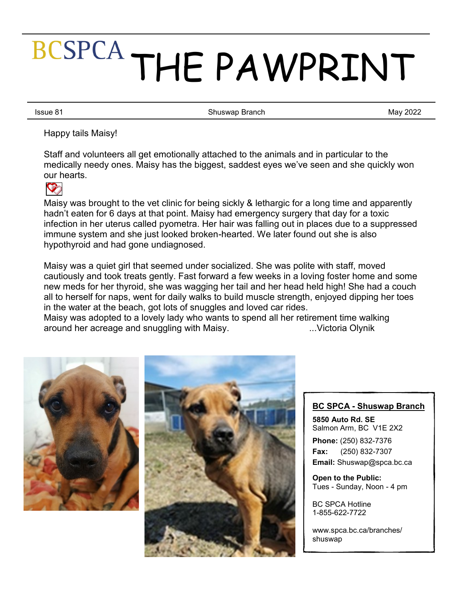# Page 1 THE PAWPRINT

Issue 81 **Shuswap Branch** Shuswap Branch

May 2022

Happy tails Maisy!

Staff and volunteers all get emotionally attached to the animals and in particular to the medically needy ones. Maisy has the biggest, saddest eyes we've seen and she quickly won our hearts.



Maisy was brought to the vet clinic for being sickly & lethargic for a long time and apparently hadn't eaten for 6 days at that point. Maisy had emergency surgery that day for a toxic infection in her uterus called pyometra. Her hair was falling out in places due to a suppressed immune system and she just looked broken-hearted. We later found out she is also hypothyroid and had gone undiagnosed.

Maisy was a quiet girl that seemed under socialized. She was polite with staff, moved cautiously and took treats gently. Fast forward a few weeks in a loving foster home and some new meds for her thyroid, she was wagging her tail and her head held high! She had a couch all to herself for naps, went for daily walks to build muscle strength, enjoyed dipping her toes in the water at the beach, got lots of snuggles and loved car rides.

Maisy was adopted to a lovely lady who wants to spend all her retirement time walking around her acreage and snuggling with Maisy. **...** Wictoria Olynik





## **BC SPCA - Shuswap Branch**

**5850 Auto Rd. SE** Salmon Arm, BC V1E 2X2 **Phone:** (250) 832-7376 **Fax:** (250) 832-7307 **Email:** Shuswap@spca.bc.ca

**Open to the Public:** Tues - Sunday, Noon - 4 pm

BC SPCA Hotline 1-855-622-7722

[www.spca.bc.ca/branches/](http://www.spca.bc.ca/branches/shuswap) [shuswap](http://www.spca.bc.ca/branches/shuswap)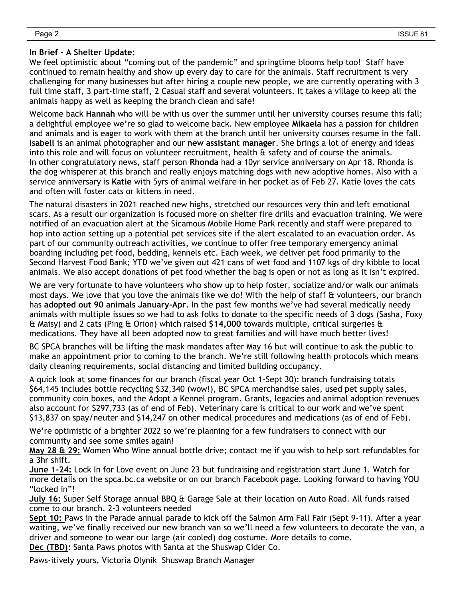#### **In Brief - A Shelter Update:**

We feel optimistic about "coming out of the pandemic" and springtime blooms help too! Staff have continued to remain healthy and show up every day to care for the animals. Staff recruitment is very challenging for many businesses but after hiring a couple new people, we are currently operating with 3 full time staff, 3 part-time staff, 2 Casual staff and several volunteers. It takes a village to keep all the animals happy as well as keeping the branch clean and safe!

Welcome back **Hannah** who will be with us over the summer until her university courses resume this fall; a delightful employee we're so glad to welcome back. New employee **Mikaela** has a passion for children and animals and is eager to work with them at the branch until her university courses resume in the fall. **Isabell** is an animal photographer and our **new assistant manager**. She brings a lot of energy and ideas into this role and will focus on volunteer recruitment, health & safety and of course the animals. In other congratulatory news, staff person **Rhonda** had a 10yr service anniversary on Apr 18. Rhonda is the dog whisperer at this branch and really enjoys matching dogs with new adoptive homes. Also with a service anniversary is **Katie** with 5yrs of animal welfare in her pocket as of Feb 27. Katie loves the cats and often will foster cats or kittens in need.

The natural disasters in 2021 reached new highs, stretched our resources very thin and left emotional scars. As a result our organization is focused more on shelter fire drills and evacuation training. We were notified of an evacuation alert at the Sicamous Mobile Home Park recently and staff were prepared to hop into action setting up a potential pet services site if the alert escalated to an evacuation order. As part of our community outreach activities, we continue to offer free temporary emergency animal boarding including pet food, bedding, kennels etc. Each week, we deliver pet food primarily to the Second Harvest Food Bank; YTD we've given out 421 cans of wet food and 1107 kgs of dry kibble to local animals. We also accept donations of pet food whether the bag is open or not as long as it isn't expired.

We are very fortunate to have volunteers who show up to help foster, socialize and/or walk our animals most days. We love that you love the animals like we do! With the help of staff & volunteers, our branch has **adopted out 90 animals January-Apr**. In the past few months we've had several medically needy animals with multiple issues so we had to ask folks to donate to the specific needs of 3 dogs (Sasha, Foxy & Maisy) and 2 cats (Ping & Orion) which raised **\$14,000** towards multiple, critical surgeries & medications. They have all been adopted now to great families and will have much better lives!

BC SPCA branches will be lifting the mask mandates after May 16 but will continue to ask the public to make an appointment prior to coming to the branch. We're still following health protocols which means daily cleaning requirements, social distancing and limited building occupancy.

A quick look at some finances for our branch (fiscal year Oct 1-Sept 30): branch fundraising totals \$64,145 includes bottle recycling \$32,340 (wow!), BC SPCA merchandise sales, used pet supply sales, community coin boxes, and the Adopt a Kennel program. Grants, legacies and animal adoption revenues also account for \$297,733 (as of end of Feb). Veterinary care is critical to our work and we've spent \$13,837 on spay/neuter and \$14,247 on other medical procedures and medications (as of end of Feb).

We're optimistic of a brighter 2022 so we're planning for a few fundraisers to connect with our community and see some smiles again!

**May 28 & 29:** Women Who Wine annual bottle drive; contact me if you wish to help sort refundables for a 3hr shift.

**June 1-24:** Lock In for Love event on June 23 but fundraising and registration start June 1. Watch for more details on the spca.bc.ca website or on our branch Facebook page. Looking forward to having YOU "locked in"!

**July 16:** Super Self Storage annual BBQ & Garage Sale at their location on Auto Road. All funds raised come to our branch. 2-3 volunteers needed

Sept 10: Paws in the Parade annual parade to kick off the Salmon Arm Fall Fair (Sept 9-11). After a year waiting, we've finally received our new branch van so we'll need a few volunteers to decorate the van, a driver and someone to wear our large (air cooled) dog costume. More details to come. **Dec (TBD):** Santa Paws photos with Santa at the Shuswap Cider Co.

Paws-itively yours, Victoria Olynik Shuswap Branch Manager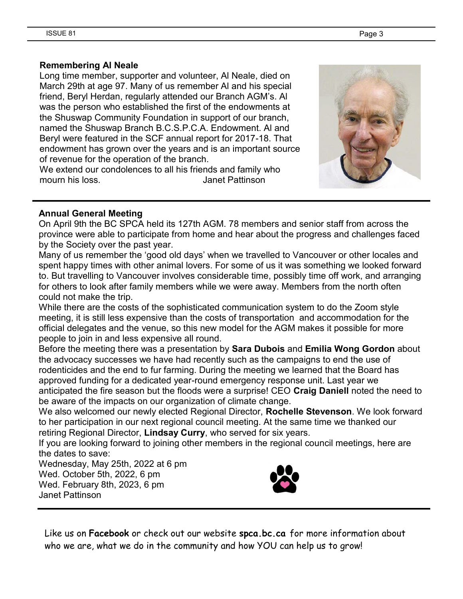#### **Remembering Al Neale**

Long time member, supporter and volunteer, Al Neale, died on March 29th at age 97. Many of us remember Al and his special friend, Beryl Herdan, regularly attended our Branch AGM's. Al was the person who established the first of the endowments at the Shuswap Community Foundation in support of our branch, named the Shuswap Branch B.C.S.P.C.A. Endowment. Al and Beryl were featured in the SCF annual report for 2017-18. That endowment has grown over the years and is an important source of revenue for the operation of the branch.

We extend our condolences to all his friends and family who mourn his loss. Janet Pattinson



#### **Annual General Meeting**

On April 9th the BC SPCA held its 127th AGM. 78 members and senior staff from across the province were able to participate from home and hear about the progress and challenges faced by the Society over the past year.

Many of us remember the 'good old days' when we travelled to Vancouver or other locales and spent happy times with other animal lovers. For some of us it was something we looked forward to. But travelling to Vancouver involves considerable time, possibly time off work, and arranging for others to look after family members while we were away. Members from the north often could not make the trip.

While there are the costs of the sophisticated communication system to do the Zoom style meeting, it is still less expensive than the costs of transportation and accommodation for the official delegates and the venue, so this new model for the AGM makes it possible for more people to join in and less expensive all round.

Before the meeting there was a presentation by **Sara Dubois** and **Emilia Wong Gordon** about the advocacy successes we have had recently such as the campaigns to end the use of rodenticides and the end to fur farming. During the meeting we learned that the Board has approved funding for a dedicated year-round emergency response unit. Last year we anticipated the fire season but the floods were a surprise! CEO **Craig Daniell** noted the need to be aware of the impacts on our organization of climate change.

We also welcomed our newly elected Regional Director, **Rochelle Stevenson**. We look forward to her participation in our next regional council meeting. At the same time we thanked our retiring Regional Director, **Lindsay Curry**, who served for six years.

If you are looking forward to joining other members in the regional council meetings, here are the dates to save:

Wednesday, May 25th, 2022 at 6 pm Wed. October 5th, 2022, 6 pm Wed. February 8th, 2023, 6 pm Janet Pattinson



Like us on **Facebook** or check out our website **spca.bc.ca** for more information about who we are, what we do in the community and how YOU can help us to grow!